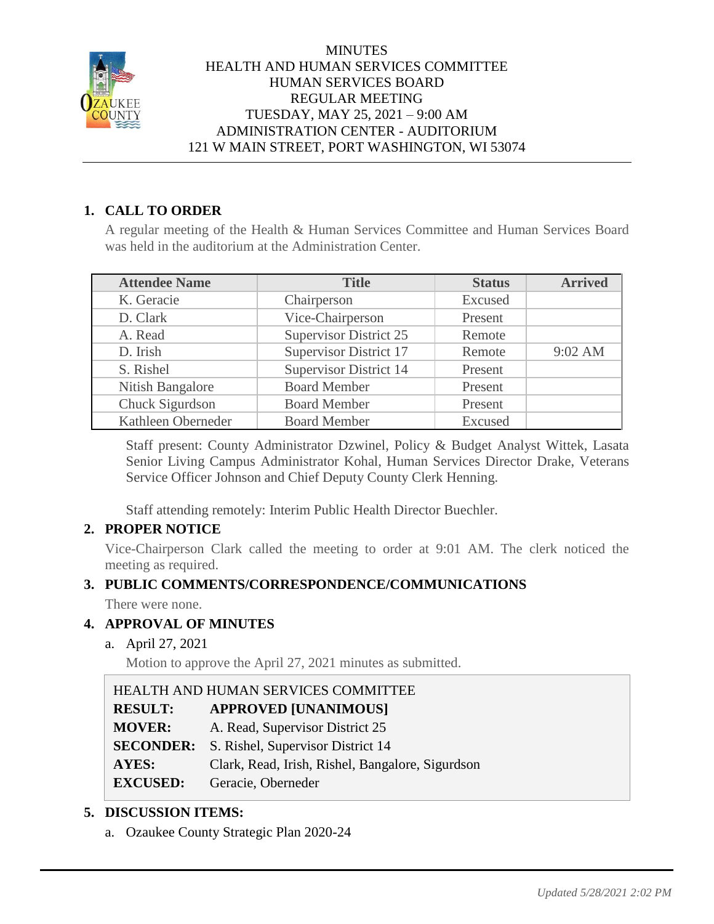

# **1. CALL TO ORDER**

A regular meeting of the Health & Human Services Committee and Human Services Board was held in the auditorium at the Administration Center.

| <b>Attendee Name</b> | <b>Title</b>                  | <b>Status</b> | <b>Arrived</b>    |
|----------------------|-------------------------------|---------------|-------------------|
| K. Geracie           | Chairperson                   | Excused       |                   |
| D. Clark             | Vice-Chairperson              | Present       |                   |
| A. Read              | <b>Supervisor District 25</b> | Remote        |                   |
| D. Irish             | Supervisor District 17        | Remote        | $9:02 \text{ AM}$ |
| S. Rishel            | <b>Supervisor District 14</b> | Present       |                   |
| Nitish Bangalore     | <b>Board Member</b>           | Present       |                   |
| Chuck Sigurdson      | <b>Board Member</b>           | Present       |                   |
| Kathleen Oberneder   | <b>Board Member</b>           | Excused       |                   |

Staff present: County Administrator Dzwinel, Policy & Budget Analyst Wittek, Lasata Senior Living Campus Administrator Kohal, Human Services Director Drake, Veterans Service Officer Johnson and Chief Deputy County Clerk Henning.

Staff attending remotely: Interim Public Health Director Buechler.

# **2. PROPER NOTICE**

Vice-Chairperson Clark called the meeting to order at 9:01 AM. The clerk noticed the meeting as required.

# **3. PUBLIC COMMENTS/CORRESPONDENCE/COMMUNICATIONS**

There were none.

# **4. APPROVAL OF MINUTES**

a. April 27, 2021

Motion to approve the April 27, 2021 minutes as submitted.

HEALTH AND HUMAN SERVICES COMMITTEE **RESULT: APPROVED [UNANIMOUS] MOVER:** A. Read, Supervisor District 25 **SECONDER:** S. Rishel, Supervisor District 14 **AYES:** Clark, Read, Irish, Rishel, Bangalore, Sigurdson **EXCUSED:** Geracie, Oberneder

# **5. DISCUSSION ITEMS:**

a. Ozaukee County Strategic Plan 2020-24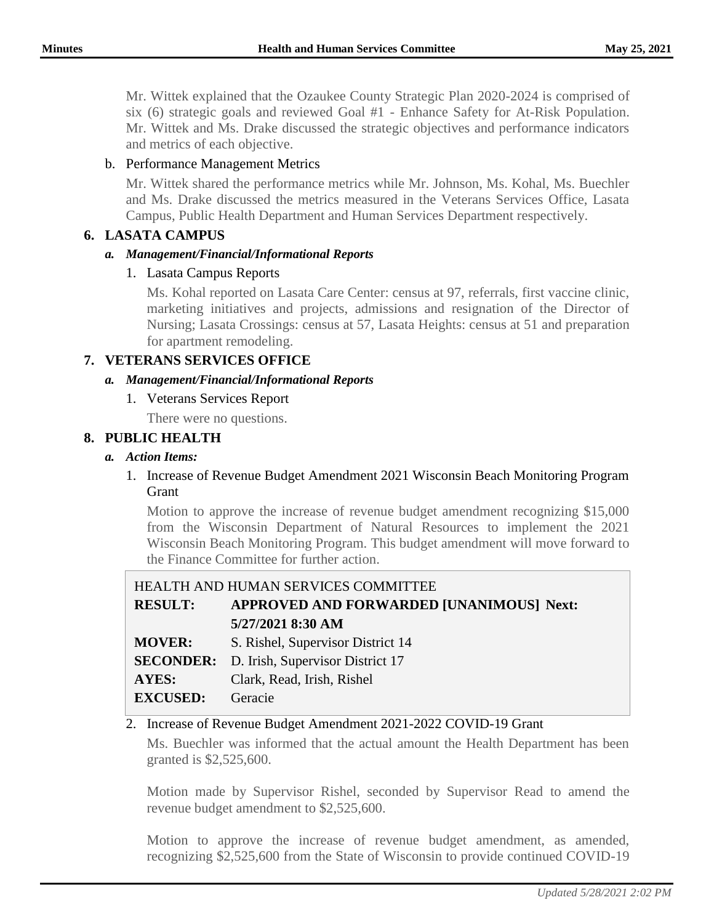Mr. Wittek explained that the Ozaukee County Strategic Plan 2020-2024 is comprised of six (6) strategic goals and reviewed Goal #1 - Enhance Safety for At-Risk Population. Mr. Wittek and Ms. Drake discussed the strategic objectives and performance indicators and metrics of each objective.

### b. Performance Management Metrics

Mr. Wittek shared the performance metrics while Mr. Johnson, Ms. Kohal, Ms. Buechler and Ms. Drake discussed the metrics measured in the Veterans Services Office, Lasata Campus, Public Health Department and Human Services Department respectively.

## **6. LASATA CAMPUS**

#### *a. Management/Financial/Informational Reports*

1. Lasata Campus Reports

Ms. Kohal reported on Lasata Care Center: census at 97, referrals, first vaccine clinic, marketing initiatives and projects, admissions and resignation of the Director of Nursing; Lasata Crossings: census at 57, Lasata Heights: census at 51 and preparation for apartment remodeling.

## **7. VETERANS SERVICES OFFICE**

#### *a. Management/Financial/Informational Reports*

1. Veterans Services Report

There were no questions.

#### **8. PUBLIC HEALTH**

#### *a. Action Items:*

1. Increase of Revenue Budget Amendment 2021 Wisconsin Beach Monitoring Program Grant

Motion to approve the increase of revenue budget amendment recognizing \$15,000 from the Wisconsin Department of Natural Resources to implement the 2021 Wisconsin Beach Monitoring Program. This budget amendment will move forward to the Finance Committee for further action.

| HEALTH AND HUMAN SERVICES COMMITTEE |                                                   |  |
|-------------------------------------|---------------------------------------------------|--|
| <b>RESULT:</b>                      | APPROVED AND FORWARDED [UNANIMOUS] Next:          |  |
|                                     | 5/27/2021 8:30 AM                                 |  |
| <b>MOVER:</b>                       | S. Rishel, Supervisor District 14                 |  |
|                                     | <b>SECONDER:</b> D. Irish, Supervisor District 17 |  |
| AYES:                               | Clark, Read, Irish, Rishel                        |  |
| <b>EXCUSED:</b>                     | Geracie                                           |  |
|                                     |                                                   |  |

### 2. Increase of Revenue Budget Amendment 2021-2022 COVID-19 Grant

Ms. Buechler was informed that the actual amount the Health Department has been granted is \$2,525,600.

Motion made by Supervisor Rishel, seconded by Supervisor Read to amend the revenue budget amendment to \$2,525,600.

Motion to approve the increase of revenue budget amendment, as amended, recognizing \$2,525,600 from the State of Wisconsin to provide continued COVID-19